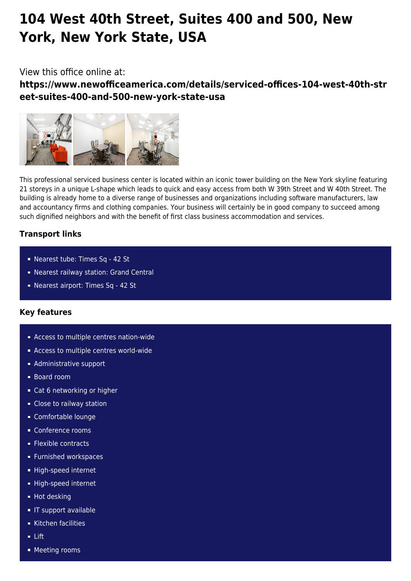# **104 West 40th Street, Suites 400 and 500, New York, New York State, USA**

# View this office online at:

**https://www.newofficeamerica.com/details/serviced-offices-104-west-40th-str eet-suites-400-and-500-new-york-state-usa**



This professional serviced business center is located within an iconic tower building on the New York skyline featuring 21 storeys in a unique L-shape which leads to quick and easy access from both W 39th Street and W 40th Street. The building is already home to a diverse range of businesses and organizations including software manufacturers, law and accountancy firms and clothing companies. Your business will certainly be in good company to succeed among such dignified neighbors and with the benefit of first class business accommodation and services.

# **Transport links**

- Nearest tube: Times Sq 42 St
- Nearest railway station: Grand Central
- Nearest airport: Times Sq 42 St

## **Key features**

- Access to multiple centres nation-wide
- **Access to multiple centres world-wide**
- **Administrative support**
- Board room
- Cat 6 networking or higher
- Close to railway station
- Comfortable lounge
- Conference rooms
- **Flexible contracts**
- **Furnished workspaces**
- High-speed internet
- High-speed internet
- Hot desking
- **IF support available**
- Kitchen facilities
- Lift
- **Meeting rooms**